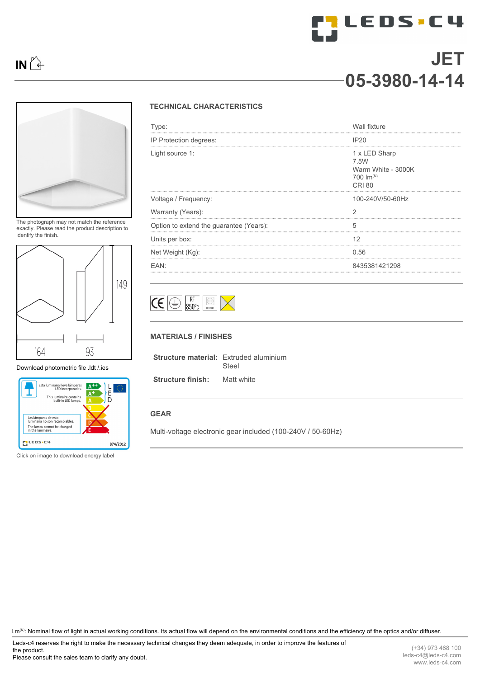

**MLEDS.C4** 



The photograph may not match the reference exactly. Please read the product description to identify the finish.



[Download photometric file .ldt /.ies](http://www.leds-c4.com/fm/05-3980-14-14.html)



Click on image to download energy label

## **TECHNICAL CHARACTERISTICS**

| Type:                                   | <b>Wall fixture</b>                                                            |
|-----------------------------------------|--------------------------------------------------------------------------------|
| IP Protection degrees:                  | <b>IP20</b>                                                                    |
| Light source 1:                         | 1 x LED Sharp<br>7.5W<br>Warm White - 3000K<br>700 $Im^{(N)}$<br><b>CRI 80</b> |
| Voltage / Frequency:                    | 100-240V/50-60Hz                                                               |
| Warranty (Years):                       |                                                                                |
| Option to extend the guarantee (Years): | 5<br>                                                                          |
| Units per box:                          | 12                                                                             |
| Net Weight (Kg):                        | 0.56                                                                           |
| FAN:                                    | 8435381421298                                                                  |



## **MATERIALS / FINISHES**

| <b>Structure material:</b> Extruded aluminium | Steel      |
|-----------------------------------------------|------------|
| <b>Structure finish:</b>                      | Matt white |

**GEAR**

Multi-voltage electronic gear included (100-240V / 50-60Hz)

Lm<sup>(N)</sup>: Nominal flow of light in actual working conditions. Its actual flow will depend on the environmental conditions and the efficiency of the optics and/or diffuser.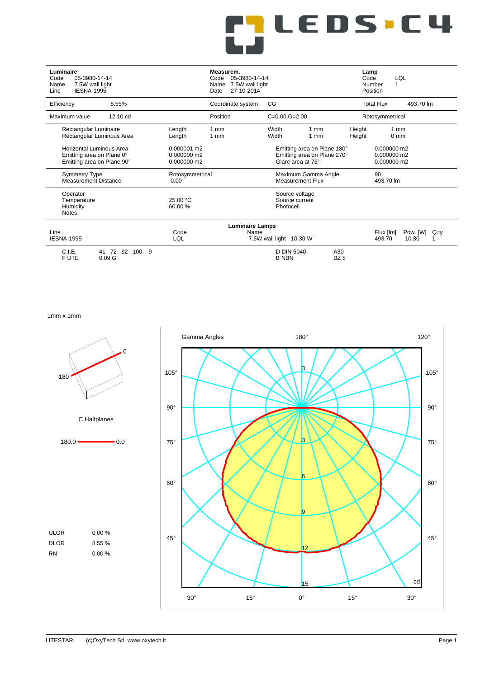| Luminaire<br>05-3980-14-14<br>Code<br>7.5W wall light<br>Name<br><b>IESNA-1995</b><br>Line |                                           | Measurem.<br>05-3980-14-14<br>Code<br>7.5W wall light<br>Name<br>27-10-2014<br>Date |                                                                                 |                        | Lamp<br>Code<br>Number<br>Position | LQL<br>1                                    |  |
|--------------------------------------------------------------------------------------------|-------------------------------------------|-------------------------------------------------------------------------------------|---------------------------------------------------------------------------------|------------------------|------------------------------------|---------------------------------------------|--|
| 8.55%<br>Efficiency                                                                        |                                           | Coordinate system                                                                   | CG                                                                              |                        | <b>Total Flux</b>                  | 493.70 lm                                   |  |
| 12.10 cd<br>Maximum value                                                                  |                                           | Position                                                                            | $C=0.00 G=2.00$                                                                 |                        |                                    | Rotosymmetrical                             |  |
| Rectangular Luminaire<br>Rectangular Luminous Area                                         | Length<br>Length                          | 1 <sub>mm</sub><br>$1 \text{ mm}$                                                   | Width<br>$1 \text{ mm}$<br>Width<br>$1 \text{ mm}$                              |                        | Height<br>Height                   | 1 <sub>mm</sub><br>0 <sub>mm</sub>          |  |
| Horizontal Luminous Area<br>Emitting area on Plane 0°<br>Emitting area on Plane 90°        | 0.000001 m2<br>0.000000 m2<br>0.000000 m2 |                                                                                     | Emitting area on Plane 180°<br>Emitting area on Plane 270°<br>Glare area at 76° |                        |                                    | $0.000000$ m2<br>0.000000 m2<br>0.000000 m2 |  |
| <b>Symmetry Type</b><br><b>Measurement Distance</b>                                        | Rotosymmetrical<br>0.00                   |                                                                                     | Maximum Gamma Angle<br><b>Measurement Flux</b>                                  |                        | 90<br>493.70 lm                    |                                             |  |
| Operator<br>Temperature<br>Humidity<br><b>Notes</b>                                        | 25.00 °C<br>60.00 %                       |                                                                                     | Source voltage<br>Source current<br>Photocell                                   |                        |                                    |                                             |  |
|                                                                                            |                                           | <b>Luminaire Lamps</b>                                                              |                                                                                 |                        |                                    |                                             |  |
| Line<br><b>IESNA-1995</b>                                                                  | Code<br>LQL                               | Name                                                                                | 7.5W wall light - 10.30 W                                                       |                        | Flux [lm]<br>493.70                | Pow. [W]<br>Q.ty<br>10.30                   |  |
| C.I.E.<br>41 72 92 100<br>-9<br>F UTE<br>0.09 <sub>G</sub>                                 |                                           |                                                                                     | <b>D DIN 5040</b><br><b>B NBN</b>                                               | A30<br>BZ <sub>5</sub> |                                    |                                             |  |

**ILEDS.C4** 

1mm x 1mm

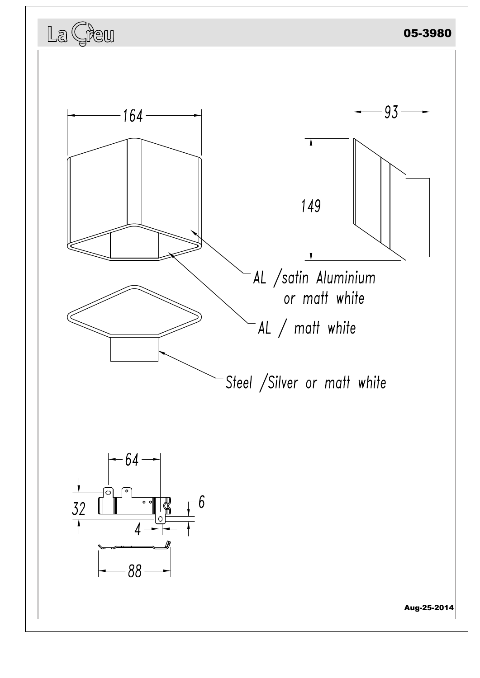